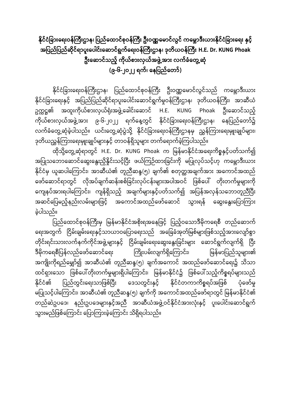နိုင်ငံခြားရေးဝန်ကြီးဌာန၊ ပြည်ထောင်စုဝန်ကြီး ဦးဝဏ္ဏမောင်လွင် ကမ္ဘောဒီးယ<mark>ား</mark>နိုင်ငံခြားရေး နှင့် အပြည်ပြည်ဆိုင်ရာပူးပေါင်းဆောင်ရွက်ရေးဝန်ကြီးဌာန၊ ဒုတိယဝန်ကြီး H.E. Dr. KUNG Phoak ဦးဆောင်သည့် ကိုယ်စားလှယ်အဖွဲ့အား လက်ခံတွေ့ဆုံ **(၉-၆-၂၀၂၂ က်၊ ရနခြည်ရတာ်)**

နိုင်ငံခြားရေးဝန်ကြီးဌာန၊ ပြည်ထောင်စုဝန်ကြီး ဦးဝဏ္ဏမောင်လွင်သည် ကမ္ဘောဒီးယား နိုင်ငံခြားရေးနှင့် အပြည်ပြည်ဆိုင်ရာပူးပေါင်းဆောင်ရွက်မှုဝန်ကြီးဌာန၊ ဒုတိယဝန်ကြီး၊ အာဆီယံ ဥက္ကဋ္ဌ၏ အထူးကိုယ်စားလှယ်ရုံးအဖွဲ့့ခေါင်းဆောင် H.E. KUNG Phoak ဦးဆောင်သည့် ကိုယ်စားလှယ်အဖွဲ့အား ၉-၆-၂၀၂၂ ရက်နေ့တွင် နိုင်ငံခြားရေးဝန်ကြီးဌာန၊ နေပြည်တော်၌ လက်ခံတွေ့ဆုံခဲ့ပါသည်။ ယင်းတွေ့့ဆုံပွဲသို့ နိုင်ငံခြားရေးဝန်ကြီးဌာနမှ ညွှန်ကြားရေးမှူးချုပ်များ၊ ဒုတိယညွှန်ကြားရေးမျုးချုပ်များနှင့် တာဝန်ရှိသူများ တက်ရောက်ခဲ့ကြပါသည်။

ထိုသို့တွေ့ဆုံရာတွင် H.E. Dr. KUNG Phoak က မြန်မာနိုင်ငံအရေးကိစ္စနှင့်ပတ်သက်၍ အပြုသဘောဆောင်ဆွေးနွေးညှိနှိုင်းသင့်ပြီး ဖယ်ကြဉ်ထားခြင်းကို မပြုလုပ်သင့်ဟု ကမ္ဘောဒီးယား နိုင်ငံမှ ယူဆပါကြောင်း၊ အာဆီယံ၏ တူညီဆန္ဒ(၅) ချက်၏ စတုတ္ထအချက်အား အကောင်အထည် ဖော်ဆောင်ရာတွင် လိုအပ်ချက်ဆန်းစစ်ခြင်းလုပ်ငန်းများအပါအဝင် ဖြစ်ပေါ် တိုးတက်မှုများကို ကျေနပ်အားရပါကြောင်း၊ ကျန်ရှိသည့် အချက်များနှင့်ပတ်သက်၍ အပြန်အလှန်သဘောတူညီပြီး အဆင်ပြေမည့်နည်းလမ်းများဖြင့် အကောင်အထည်ဖော်ဆောင် သွားရန် ဆွေးနွေးပြောကြား ြေါသည်။

\_<br>ပြည်ထောင်စုဝန်ကြီးမှ မြန်မာနိုင်ငံအစိုးရအနေဖြင့် ပြည့်ဝသောဒီမိုကရေစီ တည်ဆောက် ရေးအတွက် ငြိမ်းချမ်းရေးနှင့်သာယာဝပြောရေးသည် အခြေခံအုတ်မြစ်များဖြစ်သည့်အားလျော်စွာ တိုင်းရင်းသားလက်နက်ကိုင်အဖွဲ့့များနှင့် ငြိမ်းချမ်းရေးဆွေးနွေးခြင်းများ ဆောင်ရွက်လျက်ရှိ ပြီး ဒီမိုကရေစီပြန်လည်ဖော်ဆောင်ရေး ကြိုးပမ်းလျက်ရှိကြောင်း၊ မြန်မာပြည်သူများ၏ အကျိုးကိုရည်မျှော်၍ အာဆီယံ၏ တူညီဆန္ဒ(၅) ချက်အကောင် အထည်ဖော်ဆောင်ရေး၌ သိသာ ထင်ရှားသော ဖြစ်ပေါ်တိုးတက်မှုများရှိပါကြောင်း၊ မြန်မာနိုင်ငံ၌ ဖြစ်ပေါ်သည့်ကိစ္စရပ်များသည် နိုင်ငံ၏ ပြည်တွင်းရေးသာဖြစ်ပြီး ဒေသတွင်းနှင့် နိုင်ငံတကာကိစ္စရပ်အဖြစ် ပုံဖော်မှု မပြုသင့်ပါကြောင်း၊ အာဆီယံ၏ တူညီဆန္ဒ(၅) ချက်ကို အကောင်အထည်ဖော်ရာတွင် မြန်မာနိုင်ငံ၏ တည်ဆဲဥပဒေ၊ နည်းဥပဒေများနှင့်အညီ အာဆီယံအဖွဲ့့ဝင်နိုင်ငံအားလုံးနှင့် ပူးပေါင်းဆောင်ရွက် သွားမည်ဖြစ်ကြောင်း ပြောကြားခဲ့ကြောင်း သိရှိရပါသည်။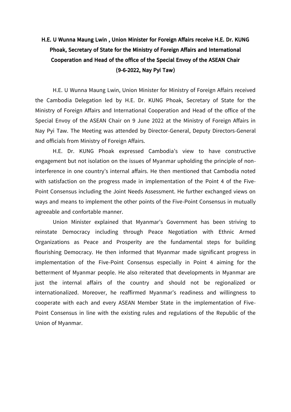## **H.E. U Wunna Maung Lwin , Union Minister for Foreign Affairs receive H.E. Dr. KUNG Phoak, Secretary of State for the Ministry of Foreign Affairs and International Cooperation and Head of the office of the Special Envoy of the ASEAN Chair (9-6-2022, Nay Pyi Taw)**

H.E. U Wunna Maung Lwin, Union Minister for Ministry of Foreign Affairs received the Cambodia Delegation led by H.E. Dr. KUNG Phoak, Secretary of State for the Ministry of Foreign Affairs and International Cooperation and Head of the office of the Special Envoy of the ASEAN Chair on 9 June 2022 at the Ministry of Foreign Affairs in Nay Pyi Taw. The Meeting was attended by Director-General, Deputy Directors-General and officials from Ministry of Foreign Affairs.

H.E. Dr. KUNG Phoak expressed Cambodia's view to have constructive engagement but not isolation on the issues of Myanmar upholding the principle of noninterference in one country's internal affairs. He then mentioned that Cambodia noted with satisfaction on the progress made in implementation of the Point 4 of the Five-Point Consensus including the Joint Needs Assessment. He further exchanged views on ways and means to implement the other points of the Five-Point Consensus in mutually agreeable and confortable manner.

Union Minister explained that Myanmar's Government has been striving to reinstate Democracy including through Peace Negotiation with Ethnic Armed Organizations as Peace and Prosperity are the fundamental steps for building flourishing Democracy. He then informed that Myanmar made significant progress in implementation of the Five-Point Consensus especially in Point 4 aiming for the betterment of Myanmar people. He also reiterated that developments in Myanmar are just the internal affairs of the country and should not be regionalized or internationalized. Moreover, he reaffirmed Myanmar's readiness and willingness to cooperate with each and every ASEAN Member State in the implementation of Five-Point Consensus in line with the existing rules and regulations of the Republic of the Union of Myanmar.